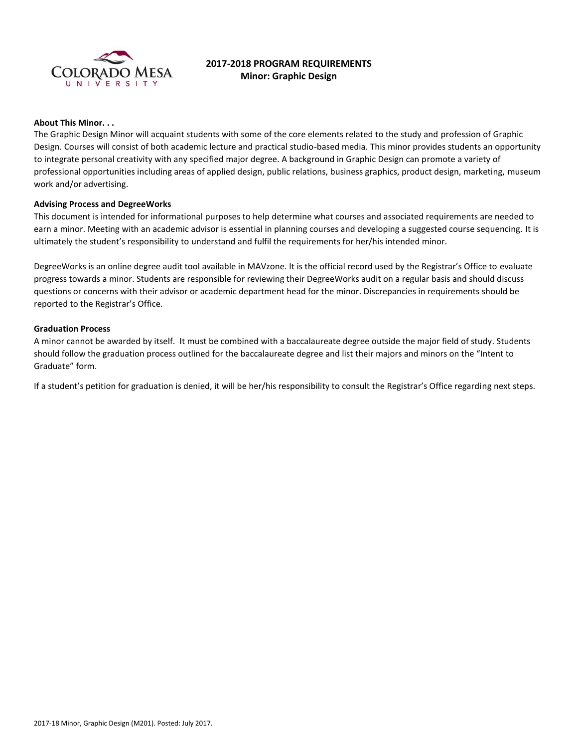

# **2017-2018 PROGRAM REQUIREMENTS Minor: Graphic Design**

#### **About This Minor. . .**

The Graphic Design Minor will acquaint students with some of the core elements related to the study and profession of Graphic Design. Courses will consist of both academic lecture and practical studio-based media. This minor provides students an opportunity to integrate personal creativity with any specified major degree. A background in Graphic Design can promote a variety of professional opportunities including areas of applied design, public relations, business graphics, product design, marketing, museum work and/or advertising.

#### **Advising Process and DegreeWorks**

This document is intended for informational purposes to help determine what courses and associated requirements are needed to earn a minor. Meeting with an academic advisor is essential in planning courses and developing a suggested course sequencing. It is ultimately the student's responsibility to understand and fulfil the requirements for her/his intended minor.

DegreeWorks is an online degree audit tool available in MAVzone. It is the official record used by the Registrar's Office to evaluate progress towards a minor. Students are responsible for reviewing their DegreeWorks audit on a regular basis and should discuss questions or concerns with their advisor or academic department head for the minor. Discrepancies in requirements should be reported to the Registrar's Office.

#### **Graduation Process**

A minor cannot be awarded by itself. It must be combined with a baccalaureate degree outside the major field of study. Students should follow the graduation process outlined for the baccalaureate degree and list their majors and minors on the "Intent to Graduate" form.

If a student's petition for graduation is denied, it will be her/his responsibility to consult the Registrar's Office regarding next steps.